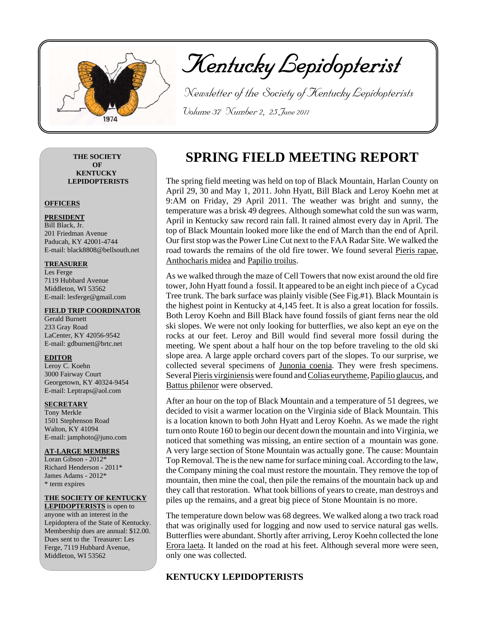

Kentucky Lepidopterist

 Newsletter of the Society of Kentucky Lepidopterists Volume 37 Number 2, 25 June 2011

**THE SOCIETY OF KENTUCKY LEPIDOPTERISTS**

#### **OFFICERS**

#### **PRESIDENT** Bill Black, Jr. 201 Friedman Avenue Paducah, KY 42001-4744 E-mail: black8808@bellsouth.net

### **TREASURER**

Les Ferge 7119 Hubbard Avenue Middleton, WI 53562 E-mail: lesferge@gmail.com

### **FIELD TRIP COORDINATOR**

Gerald Burnett 233 Gray Road LaCenter, KY 42056-9542 E-mail: gdburnett@brtc.net

## **EDITOR**

Leroy C. Koehn 3000 Fairway Court Georgetown, KY 40324-9454 E-mail: Leptraps@aol.com

## **SECRETARY**

Tony Merkle 1501 Stephenson Road Walton, KY 41094 E-mail: jamphoto@juno.com

## **AT-LARGE MEMBERS**

Loran Gibson - 2012\* Richard Henderson - 2011\* James Adams - 2012\* \* term expires

## **THE SOCIETY OF KENTUCKY**

**LEPIDOPTERISTS** is open to anyone with an interest in the Lepidoptera of the State of Kentucky. Membership dues are annual: \$12.00. Dues sent to the Treasurer: Les Ferge, 7119 Hubbard Avenue, Middleton, WI 53562

# **SPRING FIELD MEETING REPORT**

The spring field meeting was held on top of Black Mountain, Harlan County on April 29, 30 and May 1, 2011. John Hyatt, Bill Black and Leroy Koehn met at 9:AM on Friday, 29 April 2011. The weather was bright and sunny, the temperature was a brisk 49 degrees. Although somewhat cold the sun was warm, April in Kentucky saw record rain fall. It rained almost every day in April. The top of Black Mountain looked more like the end of March than the end of April. Our first stop was the Power Line Cut next to the FAA Radar Site. We walked the road towards the remains of the old fire tower. We found several Pieris rapae, Anthocharis midea and Papilio troilus.

As we walked through the maze of Cell Towers that now exist around the old fire tower, John Hyatt found a fossil. It appeared to be an eight inch piece of a Cycad Tree trunk. The bark surface was plainly visible (See Fig.#1). Black Mountain is the highest point in Kentucky at 4,145 feet. It is also a great location for fossils. Both Leroy Koehn and Bill Black have found fossils of giant ferns near the old ski slopes. We were not only looking for butterflies, we also kept an eye on the rocks at our feet. Leroy and Bill would find several more fossil during the meeting. We spent about a half hour on the top before traveling to the old ski slope area. A large apple orchard covers part of the slopes. To our surprise, we collected several specimens of Junonia coenia. They were fresh specimens. Several Pieris virginiensis were found and Colias eurytheme, Papilio glaucus, and Battus philenor were observed.

After an hour on the top of Black Mountain and a temperature of 51 degrees, we decided to visit a warmer location on the Virginia side of Black Mountain. This is a location known to both John Hyatt and Leroy Koehn. As we made the right turn onto Route 160 to begin our decent down the mountain and into Virginia, we noticed that something was missing, an entire section of a mountain was gone. A very large section of Stone Mountain was actually gone. The cause: Mountain Top Removal. The is the new name for surface mining coal. According to the law, the Company mining the coal must restore the mountain. They remove the top of mountain, then mine the coal, then pile the remains of the mountain back up and they call that restoration. What took billions of years to create, man destroys and piles up the remains, and a great big piece of Stone Mountain is no more.

The temperature down below was 68 degrees. We walked along a two track road that was originally used for logging and now used to service natural gas wells. Butterflies were abundant. Shortly after arriving, Leroy Koehn collected the lone Erora laeta. It landed on the road at his feet. Although several more were seen, only one was collected.

## **KENTUCKY LEPIDOPTERISTS**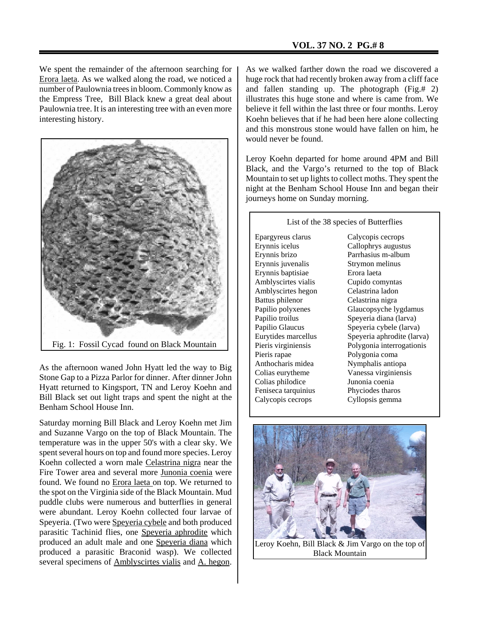We spent the remainder of the afternoon searching for Erora laeta. As we walked along the road, we noticed a number of Paulownia trees in bloom. Commonly know as the Empress Tree, Bill Black knew a great deal about Paulownia tree. It is an interesting tree with an even more interesting history.



As the afternoon waned John Hyatt led the way to Big Stone Gap to a Pizza Parlor for dinner. After dinner John Hyatt returned to Kingsport, TN and Leroy Koehn and Bill Black set out light traps and spent the night at the Benham School House Inn.

Saturday morning Bill Black and Leroy Koehn met Jim and Suzanne Vargo on the top of Black Mountain. The temperature was in the upper 50's with a clear sky. We spent several hours on top and found more species. Leroy Koehn collected a worn male Celastrina nigra near the Fire Tower area and several more Junonia coenia were found. We found no Erora laeta on top. We returned to the spot on the Virginia side of the Black Mountain. Mud puddle clubs were numerous and butterflies in general were abundant. Leroy Koehn collected four larvae of Speyeria. (Two were Speyeria cybele and both produced parasitic Tachinid flies, one Speyeria aphrodite which produced an adult male and one Speyeria diana which produced a parasitic Braconid wasp). We collected several specimens of **Amblyscirtes** vialis and A. hegon.

As we walked farther down the road we discovered a huge rock that had recently broken away from a cliff face and fallen standing up. The photograph (Fig.# 2) illustrates this huge stone and where is came from. We believe it fell within the last three or four months. Leroy Koehn believes that if he had been here alone collecting and this monstrous stone would have fallen on him, he would never be found.

Leroy Koehn departed for home around 4PM and Bill Black, and the Vargo's returned to the top of Black Mountain to set up lights to collect moths. They spent the night at the Benham School House Inn and began their journeys home on Sunday morning.

Epargyreus clarus Erynnis icelus Erynnis brizo Erynnis juvenalis Erynnis baptisiae Amblyscirtes vialis Amblyscirtes hegon Battus philenor Papilio polyxenes Papilio troilus Papilio Glaucus Eurytides marcellus Pieris virginiensis Pieris rapae Anthocharis midea Colias eurytheme Colias philodice Feniseca tarquinius Calycopis cecrops

List of the 38 species of Butterflies

Calycopis cecrops Callophrys augustus Parrhasius m-album Strymon melinus Erora laeta Cupido comyntas Celastrina ladon Celastrina nigra Glaucopsyche lygdamus Speyeria diana (larva) Speyeria cybele (larva) Speyeria aphrodite (larva) Polygonia interrogationis Polygonia coma Nymphalis antiopa Vanessa virginiensis Junonia coenia Phyciodes tharos Cyllopsis gemma



Black Mountain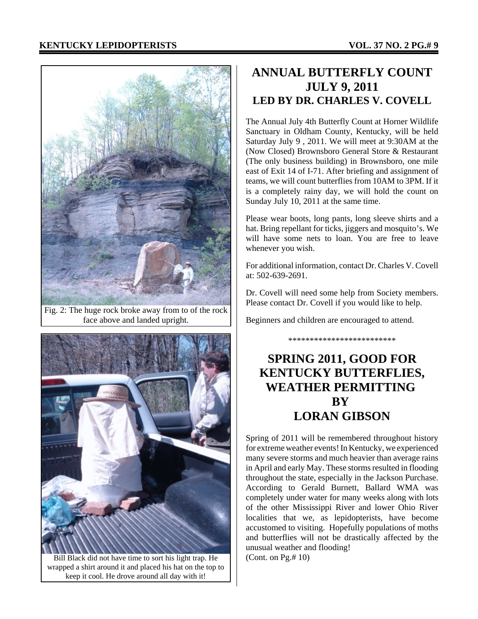

Fig. 2: The huge rock broke away from to of the rock face above and landed upright.



Bill Black did not have time to sort his light trap. He wrapped a shirt around it and placed his hat on the top to keep it cool. He drove around all day with it!

## **ANNUAL BUTTERFLY COUNT JULY 9, 2011 LED BY DR. CHARLES V. COVELL**

The Annual July 4th Butterfly Count at Horner Wildlife Sanctuary in Oldham County, Kentucky, will be held Saturday July 9 , 2011. We will meet at 9:30AM at the (Now Closed) Brownsboro General Store & Restaurant (The only business building) in Brownsboro, one mile east of Exit 14 of I-71. After briefing and assignment of teams, we will count butterflies from 10AM to 3PM. If it is a completely rainy day, we will hold the count on Sunday July 10, 2011 at the same time.

Please wear boots, long pants, long sleeve shirts and a hat. Bring repellant for ticks, jiggers and mosquito's. We will have some nets to loan. You are free to leave whenever you wish.

For additional information, contact Dr. Charles V. Covell at: 502-639-2691.

Dr. Covell will need some help from Society members. Please contact Dr. Covell if you would like to help.

\*\*\*\*\*\*\*\*\*\*\*\*\*\*\*\*\*\*\*\*\*\*\*\*\*

Beginners and children are encouraged to attend.

# **SPRING 2011, GOOD FOR KENTUCKY BUTTERFLIES, WEATHER PERMITTING BY LORAN GIBSON**

Spring of 2011 will be remembered throughout history for extreme weather events! In Kentucky, we experienced many severe storms and much heavier than average rains in April and early May. These storms resulted in flooding throughout the state, especially in the Jackson Purchase. According to Gerald Burnett, Ballard WMA was completely under water for many weeks along with lots of the other Mississippi River and lower Ohio River localities that we, as lepidopterists, have become accustomed to visiting. Hopefully populations of moths and butterflies will not be drastically affected by the unusual weather and flooding! (Cont. on Pg.# 10)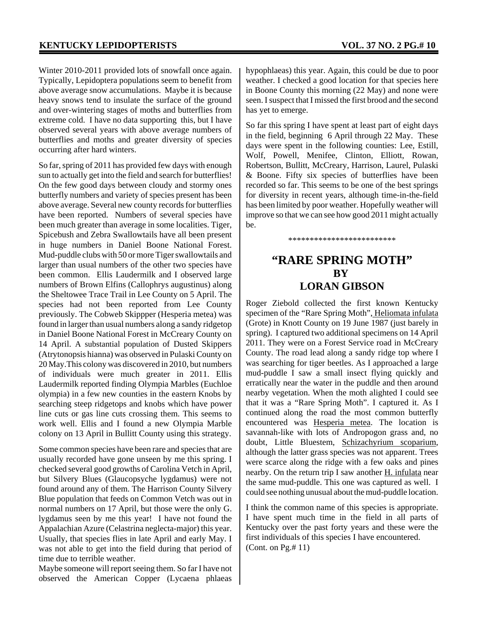Winter 2010-2011 provided lots of snowfall once again. Typically, Lepidoptera populations seem to benefit from above average snow accumulations. Maybe it is because heavy snows tend to insulate the surface of the ground and over-wintering stages of moths and butterflies from extreme cold. I have no data supporting this, but I have observed several years with above average numbers of butterflies and moths and greater diversity of species occurring after hard winters.

So far, spring of 2011 has provided few days with enough sun to actually get into the field and search for butterflies! On the few good days between cloudy and stormy ones butterfly numbers and variety of species present has been above average. Several new county records for butterflies have been reported. Numbers of several species have been much greater than average in some localities. Tiger, Spicebush and Zebra Swallowtails have all been present in huge numbers in Daniel Boone National Forest. Mud-puddle clubs with 50 or more Tiger swallowtails and larger than usual numbers of the other two species have been common. Ellis Laudermilk and I observed large numbers of Brown Elfins (Callophrys augustinus) along the Sheltowee Trace Trail in Lee County on 5 April. The species had not been reported from Lee County previously. The Cobweb Skippper (Hesperia metea) was found in larger than usual numbers along a sandy ridgetop in Daniel Boone National Forest in McCreary County on 14 April. A substantial population of Dusted Skippers (Atrytonopsis hianna) was observed in Pulaski County on 20 May.This colony was discovered in 2010, but numbers of individuals were much greater in 2011. Ellis Laudermilk reported finding Olympia Marbles (Euchloe olympia) in a few new counties in the eastern Knobs by searching steep ridgetops and knobs which have power line cuts or gas line cuts crossing them. This seems to work well. Ellis and I found a new Olympia Marble colony on 13 April in Bullitt County using this strategy.

Some common species have been rare and species that are usually recorded have gone unseen by me this spring. I checked several good growths of Carolina Vetch in April, but Silvery Blues (Glaucopsyche lygdamus) were not found around any of them. The Harrison County Silvery Blue population that feeds on Common Vetch was out in normal numbers on 17 April, but those were the only G. lygdamus seen by me this year! I have not found the Appalachian Azure (Celastrina neglecta-major) this year. Usually, that species flies in late April and early May. I was not able to get into the field during that period of time due to terrible weather.

Maybe someone will report seeing them. So far I have not observed the American Copper (Lycaena phlaeas

hypophlaeas) this year. Again, this could be due to poor weather. I checked a good location for that species here in Boone County this morning (22 May) and none were seen. I suspect that I missed the first brood and the second has yet to emerge.

So far this spring I have spent at least part of eight days in the field, beginning 6 April through 22 May. These days were spent in the following counties: Lee, Estill, Wolf, Powell, Menifee, Clinton, Elliott, Rowan, Robertson, Bullitt, McCreary, Harrison, Laurel, Pulaski & Boone. Fifty six species of butterflies have been recorded so far. This seems to be one of the best springs for diversity in recent years, although time-in-the-field has been limited by poor weather. Hopefully weather will improve so that we can see how good 2011 might actually be.

\*\*\*\*\*\*\*\*\*\*\*\*\*\*\*\*\*\*\*\*\*\*\*\*\*

## **"RARE SPRING MOTH" BY LORAN GIBSON**

Roger Ziebold collected the first known Kentucky specimen of the "Rare Spring Moth", Heliomata infulata (Grote) in Knott County on 19 June 1987 (just barely in spring). I captured two additional specimens on 14 April 2011. They were on a Forest Service road in McCreary County. The road lead along a sandy ridge top where I was searching for tiger beetles. As I approached a large mud-puddle I saw a small insect flying quickly and erratically near the water in the puddle and then around nearby vegetation. When the moth alighted I could see that it was a "Rare Spring Moth". I captured it. As I continued along the road the most common butterfly encountered was Hesperia metea. The location is savannah-like with lots of Andropogon grass and, no doubt, Little Bluestem, Schizachyrium scoparium, although the latter grass species was not apparent. Trees were scarce along the ridge with a few oaks and pines nearby. On the return trip I saw another H. infulata near the same mud-puddle. This one was captured as well. I could see nothing unusual about the mud-puddle location.

I think the common name of this species is appropriate. I have spent much time in the field in all parts of Kentucky over the past forty years and these were the first individuals of this species I have encountered. (Cont. on Pg.# 11)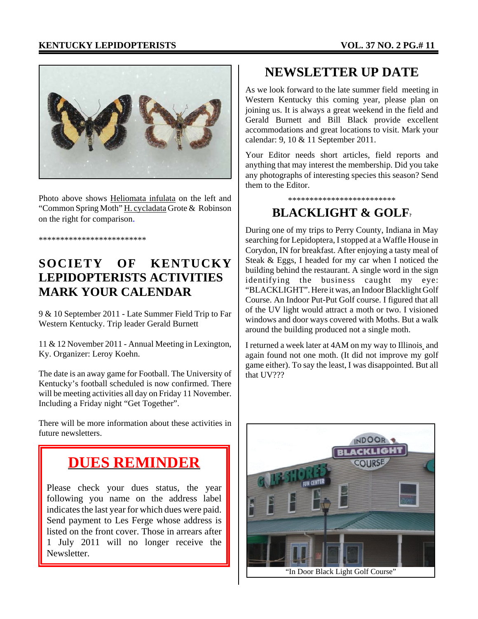## **KENTUCKY LEPIDOPTERISTS VOL. 37 NO. 2 PG.# 11**



Photo above shows Heliomata infulata on the left and "Common Spring Moth" H. cycladata Grote & Robinson on the right for comparison.

\*\*\*\*\*\*\*\*\*\*\*\*\*\*\*\*\*\*\*\*\*\*\*\*\*

# **SOCIETY OF KENTUCKY LEPIDOPTERISTS ACTIVITIES MARK YOUR CALENDAR**

9 & 10 September 2011 - Late Summer Field Trip to Far Western Kentucky. Trip leader Gerald Burnett

11 & 12 November 2011 - Annual Meeting in Lexington, Ky. Organizer: Leroy Koehn.

The date is an away game for Football. The University of Kentucky's football scheduled is now confirmed. There will be meeting activities all day on Friday 11 November. Including a Friday night "Get Together".

There will be more information about these activities in future newsletters.

# **DUES REMINDER**

Please check your dues status, the year following you name on the address label indicates the last year for which dues were paid. Send payment to Les Ferge whose address is listed on the front cover. Those in arrears after 1 July 2011 will no longer receive the Newsletter.

## **NEWSLETTER UP DATE**

As we look forward to the late summer field meeting in Western Kentucky this coming year, please plan on joining us. It is always a great weekend in the field and Gerald Burnett and Bill Black provide excellent accommodations and great locations to visit. Mark your calendar: 9, 10 & 11 September 2011.

Your Editor needs short articles, field reports and anything that may interest the membership. Did you take any photographs of interesting species this season? Send them to the Editor.

\*\*\*\*\*\*\*\*\*\*\*\*\*\*\*\*\*\*\*\*\*\*\*\*\*

## **BLACKLIGHT & GOLF?**

During one of my trips to Perry County, Indiana in May searching for Lepidoptera, I stopped at a Waffle House in Corydon, IN for breakfast. After enjoying a tasty meal of Steak & Eggs, I headed for my car when I noticed the building behind the restaurant. A single word in the sign identifying the business caught my eye: "BLACKLIGHT". Here it was, an Indoor Blacklight Golf Course. An Indoor Put-Put Golf course. I figured that all of the UV light would attract a moth or two. I visioned windows and door ways covered with Moths. But a walk around the building produced not a single moth.

I returned a week later at 4AM on my way to Illinois and again found not one moth. (It did not improve my golf game either). To say the least, I was disappointed. But all that UV???